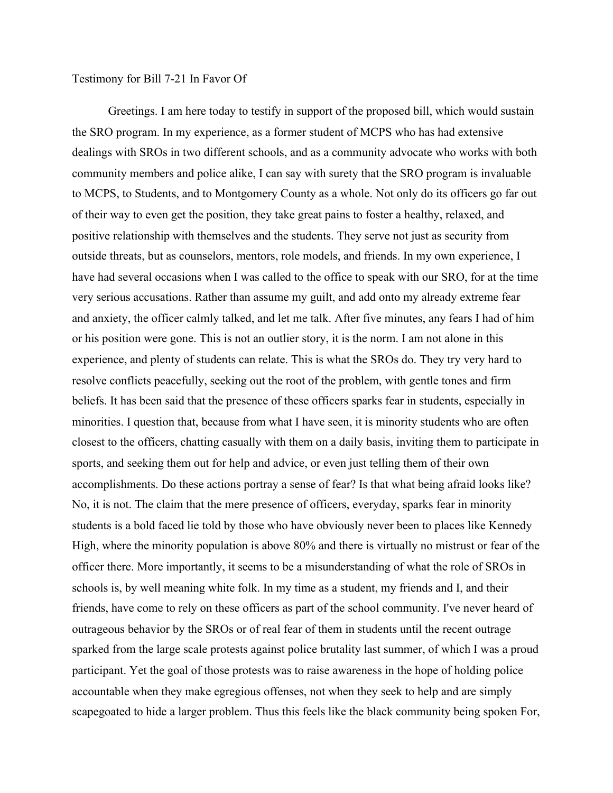## Testimony for Bill 7-21 In Favor Of

Greetings. I am here today to testify in support of the proposed bill, which would sustain the SRO program. In my experience, as a former student of MCPS who has had extensive dealings with SROs in two different schools, and as a community advocate who works with both community members and police alike, I can say with surety that the SRO program is invaluable to MCPS, to Students, and to Montgomery County as a whole. Not only do its officers go far out of their way to even get the position, they take great pains to foster a healthy, relaxed, and positive relationship with themselves and the students. They serve not just as security from outside threats, but as counselors, mentors, role models, and friends. In my own experience, I have had several occasions when I was called to the office to speak with our SRO, for at the time very serious accusations. Rather than assume my guilt, and add onto my already extreme fear and anxiety, the officer calmly talked, and let me talk. After five minutes, any fears I had of him or his position were gone. This is not an outlier story, it is the norm. I am not alone in this experience, and plenty of students can relate. This is what the SROs do. They try very hard to resolve conflicts peacefully, seeking out the root of the problem, with gentle tones and firm beliefs. It has been said that the presence of these officers sparks fear in students, especially in minorities. I question that, because from what I have seen, it is minority students who are often closest to the officers, chatting casually with them on a daily basis, inviting them to participate in sports, and seeking them out for help and advice, or even just telling them of their own accomplishments. Do these actions portray a sense of fear? Is that what being afraid looks like? No, it is not. The claim that the mere presence of officers, everyday, sparks fear in minority students is a bold faced lie told by those who have obviously never been to places like Kennedy High, where the minority population is above 80% and there is virtually no mistrust or fear of the officer there. More importantly, it seems to be a misunderstanding of what the role of SROs in schools is, by well meaning white folk. In my time as a student, my friends and I, and their friends, have come to rely on these officers as part of the school community. I've never heard of outrageous behavior by the SROs or of real fear of them in students until the recent outrage sparked from the large scale protests against police brutality last summer, of which I was a proud participant. Yet the goal of those protests was to raise awareness in the hope of holding police accountable when they make egregious offenses, not when they seek to help and are simply scapegoated to hide a larger problem. Thus this feels like the black community being spoken For,